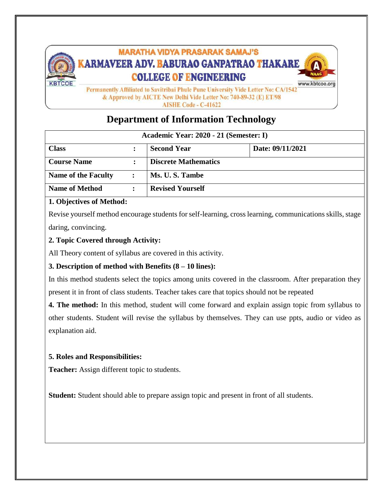

**AISHE Code - C-41622** 

## **Department of Information Technology**

| Academic Year: 2020 - 21 (Semester: I) |  |                             |                  |  |  |  |  |
|----------------------------------------|--|-----------------------------|------------------|--|--|--|--|
| <b>Class</b>                           |  | <b>Second Year</b>          | Date: 09/11/2021 |  |  |  |  |
| <b>Course Name</b>                     |  | <b>Discrete Mathematics</b> |                  |  |  |  |  |
| <b>Name of the Faculty</b>             |  | Ms. U.S. Tambe              |                  |  |  |  |  |
| <b>Name of Method</b>                  |  | <b>Revised Yourself</b>     |                  |  |  |  |  |

## **1. Objectives of Method:**

Revise yourself method encourage students for self-learning, cross learning, communications skills, stage daring, convincing.

**2. Topic Covered through Activity:**

All Theory content of syllabus are covered in this activity.

**3. Description of method with Benefits (8 – 10 lines):**

In this method students select the topics among units covered in the classroom. After preparation they present it in front of class students. Teacher takes care that topics should not be repeated

**4. The method:** In this method, student will come forward and explain assign topic from syllabus to other students. Student will revise the syllabus by themselves. They can use ppts, audio or video as explanation aid.

## **5. Roles and Responsibilities:**

**Teacher:** Assign different topic to students.

**Student:** Student should able to prepare assign topic and present in front of all students.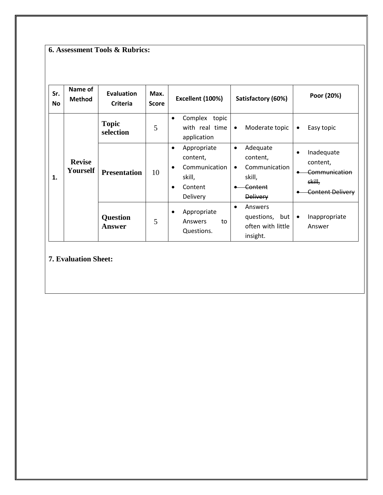**6. Assessment Tools & Rubrics:**

| Sr.<br><b>No</b> | Name of<br><b>Method</b>  | <b>Evaluation</b><br><b>Criteria</b> | Max.<br><b>Score</b> | Excellent (100%)                                                                                                 | Satisfactory (60%)                                                                                      | Poor (20%)                                                                                |
|------------------|---------------------------|--------------------------------------|----------------------|------------------------------------------------------------------------------------------------------------------|---------------------------------------------------------------------------------------------------------|-------------------------------------------------------------------------------------------|
|                  |                           | <b>Topic</b><br>selection            | 5                    | Complex<br>topic<br>$\bullet$<br>with real time<br>application                                                   | Moderate topic<br>$\bullet$                                                                             | Easy topic<br>$\bullet$                                                                   |
| 1.               | <b>Revise</b><br>Yourself | <b>Presentation</b>                  | 10                   | Appropriate<br>$\bullet$<br>content,<br>Communication<br>$\bullet$<br>skill,<br>Content<br>$\bullet$<br>Delivery | Adequate<br>$\bullet$<br>content,<br>Communication<br>$\bullet$<br>skill,<br>Content<br><b>Delivery</b> | Inadequate<br>$\bullet$<br>content,<br>Communication<br>skill,<br><b>Content Delivery</b> |
|                  |                           | <b>Question</b><br><b>Answer</b>     | 5                    | Appropriate<br>Answers<br>to<br>Questions.                                                                       | Answers<br>$\bullet$<br>questions, but<br>often with little<br>insight.                                 | Inappropriate<br>$\bullet$<br>Answer                                                      |

**7. Evaluation Sheet:**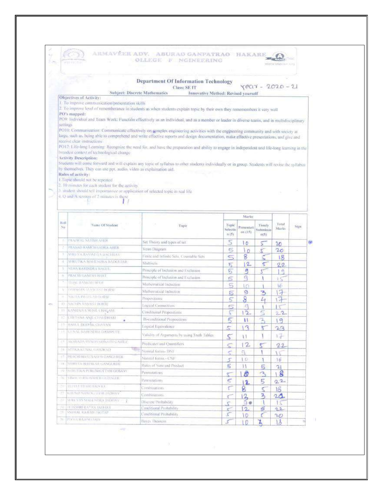|          | ista ratinat                                                                     | ARMAVĒER ADV. ABURAU GANPATRAO HAKARE<br>OLLEGE F NGINEERING                                                                                                                                                                                                                   |                                  |               |                        |                |       |   |
|----------|----------------------------------------------------------------------------------|--------------------------------------------------------------------------------------------------------------------------------------------------------------------------------------------------------------------------------------------------------------------------------|----------------------------------|---------------|------------------------|----------------|-------|---|
|          |                                                                                  |                                                                                                                                                                                                                                                                                |                                  |               |                        | WWW.IBuream.nm |       |   |
|          |                                                                                  |                                                                                                                                                                                                                                                                                |                                  |               |                        |                |       |   |
|          |                                                                                  | <b>Department Of Information Technology</b>                                                                                                                                                                                                                                    |                                  |               |                        |                |       |   |
|          |                                                                                  | Class: SE IT<br>Subject: Discrete Mathematics                                                                                                                                                                                                                                  |                                  |               | $YPC17 - 2020 - 21$    |                |       |   |
|          | Objectives of Activity:                                                          | Innovative Method: Revised yourself                                                                                                                                                                                                                                            |                                  |               |                        |                |       |   |
|          | 1. To improve communication/presentation skills                                  |                                                                                                                                                                                                                                                                                |                                  |               |                        |                |       |   |
|          | PO's mapped:                                                                     | 2. To improve level of rememberance in students as when students explain topic by their own they rememembers it very well                                                                                                                                                      |                                  |               |                        |                |       |   |
|          |                                                                                  | PO9: Individual and Team Work: Function effectively as an individual, and as a member or leader in diverse teams, and in multidisciplinary                                                                                                                                     |                                  |               |                        |                |       |   |
| settings |                                                                                  |                                                                                                                                                                                                                                                                                |                                  |               |                        |                |       |   |
|          |                                                                                  | PO10: Communication: Communicate effectively on gomplex engineering activities with the engineering community and with society at<br>large, such as, heing able to comprehend and write effective reports and design documentation, make effective presentations, and give and |                                  |               |                        |                |       |   |
|          | receive clear instructions.                                                      |                                                                                                                                                                                                                                                                                |                                  |               |                        |                |       |   |
|          |                                                                                  | PO12: Life-long Learning: Recognize the need for, and have the preparation and ability to engage in independent and life-long learning in the                                                                                                                                  |                                  |               |                        |                |       |   |
|          | broadest context of technological change<br><b>Activity Description:</b>         |                                                                                                                                                                                                                                                                                |                                  |               |                        |                |       |   |
|          |                                                                                  | Students will come forward and will explain any topic of syllabus to other students individually or in group. Students will revise the syllabos                                                                                                                                |                                  |               |                        |                |       |   |
|          | by themselves. They can use ppt, audio, video as explaination aid.               |                                                                                                                                                                                                                                                                                |                                  |               |                        |                |       |   |
|          | Rules of activity:<br>1. Topic should not be repeated.                           |                                                                                                                                                                                                                                                                                |                                  |               |                        |                |       |   |
|          | 2. 10 minutes for each student for the activity.                                 |                                                                                                                                                                                                                                                                                |                                  |               |                        |                |       |   |
|          | 3 student should tell importantice or application of selected topic in real life |                                                                                                                                                                                                                                                                                |                                  |               |                        |                |       |   |
|          | 4. Q and A session of 2 minutes is there                                         |                                                                                                                                                                                                                                                                                |                                  |               |                        |                |       |   |
|          |                                                                                  |                                                                                                                                                                                                                                                                                |                                  |               |                        |                |       |   |
|          |                                                                                  |                                                                                                                                                                                                                                                                                |                                  | Marks:        |                        |                |       |   |
| Roll     |                                                                                  |                                                                                                                                                                                                                                                                                |                                  |               |                        | Total          |       |   |
| N0       | Name Of Student                                                                  | Topic                                                                                                                                                                                                                                                                          | Topic<br>Selectin                | Presentati    | Timely.<br>Sultenissio | Marks          | Sign: |   |
|          |                                                                                  |                                                                                                                                                                                                                                                                                | n(5)                             | on(15)        | 1051                   |                |       |   |
|          | PRAINVAL SATISTI AHER                                                            | Set Theory and types of set                                                                                                                                                                                                                                                    | 5                                | 10            |                        | 20             |       | 御 |
|          | PRASAD RAMCHANDRA AHER                                                           | Veno Diagram                                                                                                                                                                                                                                                                   | 5                                | n             |                        | 20             |       |   |
|          | 知恵時代の最も始長自含を含んに出るい                                                               | Finite and Infinite Seta, Countable Sets                                                                                                                                                                                                                                       | ς                                | 8             |                        | 18             |       |   |
| 3        | SHIKUTIKA MAHLISOKA ILADGUAR                                                     | Multischi                                                                                                                                                                                                                                                                      | 15                               | 2.            | s                      | $22 -$         |       |   |
|          | HEMA RAVINDRA HAGUL.                                                             | Principle of Inclusion and Exclusion.                                                                                                                                                                                                                                          | 5                                | g             | $\mathcal{F}$          | g              |       |   |
|          |                                                                                  |                                                                                                                                                                                                                                                                                |                                  |               |                        | E              |       |   |
| n.       | PILACTITIONNESH HEMT                                                             | Principle of Inclusion and Exclusion.                                                                                                                                                                                                                                          | 5                                | a             |                        |                |       |   |
|          | <b>TERAL RAMESIS HERR</b>                                                        | Mathematical Induction                                                                                                                                                                                                                                                         | 5                                | ŧΘ            |                        | Y6             |       |   |
| $\sim$   | DARSHAN AS XWAST BORSE                                                           | Mathematical Induction                                                                                                                                                                                                                                                         | 5                                | g             | 3                      | 17             |       |   |
|          | NIKUGA PRINTGAD BURSE                                                            | Propersitions.                                                                                                                                                                                                                                                                 | 5                                | 8             | ↵                      | 17             |       |   |
| $^{10}$  | SZCIEN VASAN LIGHSL                                                              | Logical Connectives                                                                                                                                                                                                                                                            | 5                                | 鸿             |                        | $1 - 7$        |       |   |
| 11       | KANGATYA SUNTLE HALASE                                                           | Cendrional Propositions                                                                                                                                                                                                                                                        | ς                                | $12-$         | S                      | 22             |       |   |
|          | CIRTANA ANJE CHAUDHARI                                                           | Bi-conditional Propositions                                                                                                                                                                                                                                                    | 5                                | $\mathbf{H}$  |                        | 19             |       |   |
|          | <b>TT RAFRIC DEEPAR-CHAVAN</b><br><b>JULIO AL BIARENDRA DANHISTE</b>             | Logical Equivalence                                                                                                                                                                                                                                                            | 5                                | $\mathbf{1}$  | s.                     | 23             |       |   |
|          |                                                                                  | Validaty of Argaments by using Truth Tables.                                                                                                                                                                                                                                   | $\varsigma$                      | 1.1           |                        | $17 -$         |       |   |
| ΠB       | ANSUATIA ISSNOVI (RISPATTI COVIDER)                                              | Predicates and Quantifiers.                                                                                                                                                                                                                                                    | $\leq$                           | 12            | 5                      | 22             |       |   |
| TD)      | NITURA KEINAL GIABORISTY                                                         | Normal forms- DNF                                                                                                                                                                                                                                                              |                                  | ġ.            |                        |                |       |   |
| ИŦ       | PRACHEBRAUSANED GANGURDE                                                         | Nomial forms - CNF                                                                                                                                                                                                                                                             | S<br>S.                          | I D           |                        | 16             |       |   |
| TH.      | SERVETA BUASKAIL GANGERDE                                                        | Kules of Sam and Prixhet                                                                                                                                                                                                                                                       | 5                                | 11            | 5                      |                |       |   |
| 189      | <b>ISHELTIKA PURCSHOTTAM GOSAVI</b>                                              | Petriuitations                                                                                                                                                                                                                                                                 |                                  | ø             | B                      | 2 <sub>1</sub> |       |   |
| 91       | VIBILITY RALISARIER ULIONGER.                                                    | <b>Economico</b>                                                                                                                                                                                                                                                               |                                  |               |                        | 18             |       |   |
| -31      | <b>BEAST IFFAMERADOR</b>                                                         | Combustions.                                                                                                                                                                                                                                                                   | 5<br>٣                           | 12            | 5                      | $22 -$         |       |   |
| 93       | KEILSHANNYNDSTSTEIN JADHAV                                                       | Comboations.                                                                                                                                                                                                                                                                   |                                  | 8             | ς                      | 16             |       |   |
| 33       | SERIEVAS SIGUUNDIOS JADEIAV                                                      | Describe Probability                                                                                                                                                                                                                                                           | €                                | 13<br>自動      | 3                      | 24             |       |   |
| 31I      | <b>TELESSERT RATAN DOUGLAV</b>                                                   | Conditional Probability                                                                                                                                                                                                                                                        | s.                               | $\frac{2}{2}$ | 岁                      | 15<br>22       |       |   |
| Лħ       | SMEHAL RAJESH / ACTAP<br><b>JUL PERTIA RATESELTARS</b>                           | Conditional Probability<br>Hayes Theorem                                                                                                                                                                                                                                       | $\mathcal{L}_{\mathcal{L}}$<br>š | ١D            | C.<br>Ă                | 20<br>lδ       |       |   |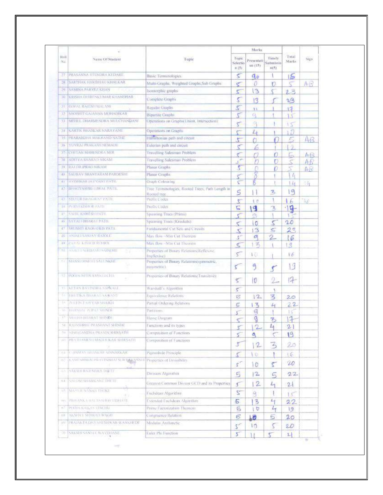|                     |                                        |                                                                  |                           | Marks                       |                                       |                 |                |
|---------------------|----------------------------------------|------------------------------------------------------------------|---------------------------|-----------------------------|---------------------------------------|-----------------|----------------|
| libil<br>Na         | Name Of Student                        | Tupic                                                            | Topic<br>Selectio<br>n(5) | Presentati<br>un (15)       | Timely<br>Submissio<br>$\frac{1}{15}$ | I otal<br>Marks | Sign:          |
| 37.                 | PRASANNA HTENDRA KEDARE                | Basic Terminologies                                              | s                         | ۹ö                          |                                       | ۱S              |                |
| 28.                 | SARTHAK HARIBHAU KHALKAR               | Multi-Graphs. Weighted Graphs.Sub Graphs                         | €                         | 0                           | n                                     | Ç               | $A \cdot E$    |
| 29                  | SAMBYA PARYEZ KHAN                     | <b>Isomorphic</b> graphs                                         | 5                         | З                           |                                       | 23              |                |
| 30-                 | <b>KRISHA DI IRENKUMAR KHANDHAR</b>    | Complete Craphs                                                  | 5                         | 13                          |                                       | 2/3             |                |
| 31                  | <b>FIGHAL RAJESH MALANL</b>            | Regular Grophs                                                   | 5                         | $\mathbf{H}$                |                                       | 13              |                |
| 32                  | SHORIST GAIANAN-MOBADIKAR              | <b>Binartise Graphs</b>                                          | ۳                         | α                           |                                       | Lξ              |                |
| 33                  | MERUL DHARMENDRA MULCHANDANI           | Operations on Graphs (Union, Intersection).                      | 2                         | q                           |                                       | ٧S              |                |
| 34                  | <b>KARTIK BHASKAR NARAYANE</b>         | Operations on Graphs                                             |                           | $\mathcal{L}_{\mathcal{A}}$ |                                       | f7              |                |
| 35                  | PRARAHERIA MAKRAND NATHE               | Hamiltonian path and circuit                                     | ţ                         | Ō                           |                                       | ł,              | A <sub>B</sub> |
| 36                  | YUVRAI PRAKASH NI MALIE                | Eulerian path and encuir                                         |                           | b                           |                                       | V.              |                |
| 茹                   | CHITAS MAHENDRA NER                    | <b>Fravelling Salesman Problem</b>                               |                           | Ò                           | Ω                                     | Ľ.              | AR             |
| 38                  | <b>ADITYA SHARACI NIKAM</b>            | <b>Travelling Salesman Problem</b>                               |                           |                             |                                       |                 | Æ              |
| 59                  | RAJ DR JPRAD NIKAM                     | Planar Graphs                                                    |                           |                             |                                       | 7               | Aß             |
| 4(1)                | <b>SALIKAV SHANTARAM-PARDESHI</b>      | Planar Graphs                                                    | Ŝ                         |                             |                                       | L,              |                |
| ш                   | <b>KVISHKAILIAV VANT PATIL</b>         | Craph Colouring                                                  |                           | ß                           |                                       | $\frac{1}{4}$   | 满              |
| 4.7                 | BRAGYASHREEMS AL PATIL                 | Tree Terminologies, Rooted Trees, Path Length in<br>Rooted tree. |                           |                             | 3                                     | 19              |                |
| ю                   | STAYUR BILAGWA UPATH.                  | Prefix Cades                                                     | 5<br>7                    | $\langle$ 0                 |                                       | 16              | 16             |
| ы                   | POWERBERT IN TH                        | Prefect codes                                                    | ς                         | 9                           | 3                                     | $19 -$          |                |
| т                   | <b>SAFIL KAMESELVATIL</b>              | Spanning Trees (Prims)                                           | ٢                         | Ø)                          |                                       | <b>Vic</b>      |                |
| <b>LES</b>          | <b>SAYALLBHARAT PATH</b>               | Spanning Trees (Kruskals).                                       |                           | O                           | S                                     | 20              |                |
| jП                  | SRUSHUI RAOSANI B PATIL                | Fundamental Cat Sets and Circuits                                | ↸<br>s                    | 13                          | 5                                     | 23              |                |
| HX.                 | <b>ANJALI SAKEAY RAJOLE</b>            | Max flow -- Min Cut Flienrern                                    | \$°                       | a                           | 2.                                    | 6               |                |
| 49                  | <b>PAYAL LEMICH ROUGH</b>              | Max flow-Aftic Cut Theorem                                       | Ś                         | K.                          |                                       | 1.9             |                |
| 31                  | <b>SIGNAL SUBJECT SABURE</b>           | Properties of Bunary Relations(Reflexive<br>livelles (ve)        | 5                         | 10 <sub>1</sub>             |                                       | 16              |                |
| (1)                 | MASS DISTALS AT UNCHE                  | Properties of Binary Relations(symmetric,<br>assymetre)          | τ                         | 9                           | ٣                                     | 19              |                |
|                     | 32 ROOM NITIN SANALLE HA               | Properties of Binary Relations(Transitive).                      | 5                         | 10                          | 21                                    | 17              |                |
|                     | <b>CONTANTAVISDEA SABSALE</b>          | Warshall's Algorithm                                             | 5                         |                             | ۹                                     |                 |                |
| $\overline{\alpha}$ | TRUTH-STRARATISAWANI                   | Equivalence Relations                                            | 15                        | $\frac{2}{2}$               | 3                                     | 2.0             |                |
| $\frac{1}{2}$       | <b>PULLENT ATTYMENTAIRTE</b>           | Partial Ordering Relations                                       | 5                         | 呙                           | 山                                     | $^{22}$         |                |
| ÷                   | <b>BARSDAL PURKT SHINDE</b>            | Partitions:                                                      |                           | q                           |                                       | 15              |                |
| 31                  | MULLEA BILLARAT SHINGH                 | Hasse: Dargmm                                                    |                           | 9                           | $\mathcal{F}_{\geq}$                  | $\mathbf{1}$    |                |
|                     | AJAIHREE PRASHANT SHINDE               | I unctions and its typen                                         | s                         | 2                           | $t_{\rm{H}}$                          | 21              |                |
| 50                  | NISIYOANDHA PRAVIN SHIRSATH            | Composition of Functions                                         | 5                         | ٥                           |                                       | 19              |                |
| f                   | PRATHAMENT MAGE UNA R SHIRSATH         | Composition of Functions                                         | y                         | $\mathbf{2}$                | 3                                     | 20              |                |
| <b>Bill</b>         | <b><i>INMAY INEXSEAR SINNARSAR</i></b> | Preponhole Principle                                             | C                         | <b>O</b>                    |                                       | 16              |                |
| HC                  | KAAS SUUGALERAVISIOONI SUR VANASSUU    | Properties of Divisibility                                       | $\mathfrak{L}^{\times}$   | $\circ$                     | 5                                     | 20              |                |
| USS:                | <b>SARSER RAJE NERA TUETE</b>          | Division Algorithm                                               | 5                         | 12.                         | 5                                     | 22              |                |
| U-L                 | VALORESI (WARKAN FIDHETT)              | Greatest Common Divisor GCD and its Properties                   | ſ.                        | $\mathbf{2}$                | 4                                     | $\mathfrak{D}$  |                |
| W.                  | MASTIR NANAVE THORE<br>电               | Fochdeun; Algorithus.                                            | 2                         | 9                           |                                       | tΩ              |                |
| МY                  | 网络埃森锡松布 网络尼洛库森托拉 坚韧用或弱长                | Extended Fochdean Algorithm                                      | 5                         | 3                           | $\overline{4}$                        | 22              |                |
| $\sim$              | PUOLS KAILSS VINCHU                    | Prime Firetorization Theorem                                     | S                         | Þ                           | 4                                     | 19              |                |
| na                  | <b>ANSERT SHARAD WAGHT</b>             | Congruence Relation                                              | 5                         | LØ.                         | 6                                     | 20              |                |
| TH.                 | RAJAKTA DAYANI SHWAR WANGHEDE          | Modular Arathmetic                                               | ζŕ,                       | 10                          | 5                                     | 20              |                |
|                     |                                        |                                                                  |                           |                             |                                       |                 |                |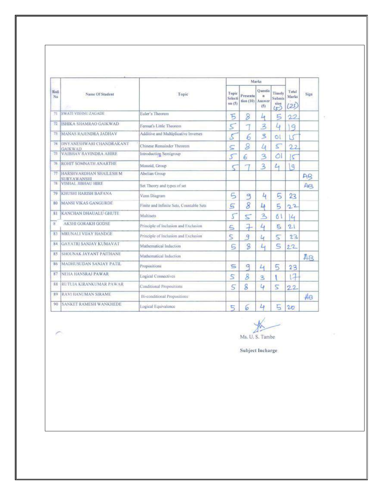|            |                                               |                                          |                              |                      | Marks                         |                                        |                        |      |
|------------|-----------------------------------------------|------------------------------------------|------------------------------|----------------------|-------------------------------|----------------------------------------|------------------------|------|
| Rall<br>No | Name Of Student<br>70                         | Topic                                    | Topic<br>Selecti<br>on $(5)$ | Presenta<br>rfon(10) | Ouestio<br>×<br>Answer<br>(5) | Timely<br><b>Submis</b><br>sion<br>(52 | Total<br>Marks<br>(25) | Sign |
| 71         | <b>SWATI VISHNU ZAGADE</b>                    | Euler's Theorem                          | 5                            | 8                    | и                             | 5                                      | 22                     |      |
| 72         | ISHIKA SHAMRAO GAJKWAD                        | Fermat's Little Theorem                  | 5                            | $\rightarrow$        | $\mathbf{3}$                  | 4                                      | 9                      |      |
| 73         | <b>MANAS RAJENDRA JADHAV</b>                  | Additive and Multiplicative Inverses-    | $\mathcal{E}$                | 6                    | S                             | ٥l                                     | LS                     |      |
| 74         | DNY ANESHWARI CHANDRAKANT<br>GAIKWAD          | Chinese Remainder Theorem                | $\leq$                       | 8                    | 4                             | 5                                      | $^{2.2}$               |      |
| 75         | VAIBHAV RAVINDRA AHIRE                        | Introduction Semigroup                   | 5                            | 6                    | 3                             | ା                                      | Ç                      |      |
| 76         | ROHIT SOMNATH ANARTHE                         | Monoid, Group                            |                              |                      | $\overline{\mathbf{3}}$       | $L_{1}$                                | $\overline{9}$         |      |
| 77         | HARSHVARDHAN SHAILESH M<br><b>SURYAWANSHI</b> | Abelian Group                            |                              |                      |                               |                                        |                        | AB   |
| 78         | <b>VISHAL JIBHAU HIRE</b>                     | Set Theory and types of set              |                              |                      |                               |                                        |                        | AR   |
| 79         | KHUSHI HARISH BAFANA                          | Venn Diagram                             | 5                            | ٩                    | 4                             | 5                                      | 23                     |      |
| 80         | <b>MANSI VIKAS GANGURDE</b>                   | Finite and Infinite Sets, Countable Sets | 5                            | 8                    | 4                             | 5                                      | 22                     |      |
| 8I         | <b>KANCHAN DHAUALU GHUTE</b>                  | Multisets                                | 5                            | $\leq$               | $\mathbf{z}$                  | 61                                     | 4                      |      |
| É.         | <b>AKSHI GORAKH GODSE</b>                     | Principle of Inclusion and Exclusion     | 5                            | $\div$               | Ц                             | 5                                      | 21                     |      |
| 83         | MRUNALI VIJAY HANDGE                          | Principle of Inclusion and Exclusion     | 5                            | 9                    | Ŀ                             | 5                                      | 23                     |      |
| 84         | <b>GAYATRI SANJAY KUMAVAT</b>                 | Mathematical Induction                   | 5                            | $\mathcal{S}$        | Ц                             | 5                                      | 22                     |      |
| 85         | SHOUNAK JAYANT PAITHANE                       | Mathematical Induction                   |                              |                      |                               |                                        |                        | AB   |
| 86         | MADHUSUDAN SANJAY PATIL                       | Propositions                             | 也                            | $\overline{a}$       | 4                             | 5                                      | 23                     |      |
| 87         | NEHA HANSRAJ PAWAR                            | Logical Connectives                      | 5                            | 8                    | 3                             |                                        | $\overline{A}$         |      |
| 88         | RUTUJA KIRANKUMAR PAWAR                       | <b>Conditional Propositions</b>          | 5                            | 8                    | $\omega$                      | 5                                      | 22                     |      |
| 89         | RAVI HANUMAN SIRAME                           | Bi-conditional Propositions              |                              |                      |                               |                                        |                        | AB   |
| 90         | SANKET RAMESH WANKHEDE                        | Logical Equivalence                      | 5                            | 6                    | Ы                             | 5                                      | 20                     |      |

Ms. U. S. Tambe

Subject Incharge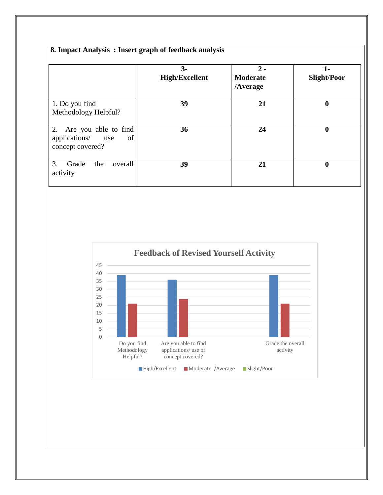|                                                                           | $3-$<br><b>High/Excellent</b> | $2 -$<br><b>Moderate</b><br>/Average | $1-$<br><b>Slight/Poor</b> |  |  |
|---------------------------------------------------------------------------|-------------------------------|--------------------------------------|----------------------------|--|--|
| 1. Do you find<br>Methodology Helpful?                                    | 39                            | 21                                   | $\boldsymbol{0}$           |  |  |
| 2. Are you able to find<br>applications/<br>of<br>use<br>concept covered? | 36                            | 24                                   | $\boldsymbol{0}$           |  |  |
| 3.<br>Grade<br>the<br>overall<br>activity                                 | 39                            | 21                                   | $\boldsymbol{0}$           |  |  |